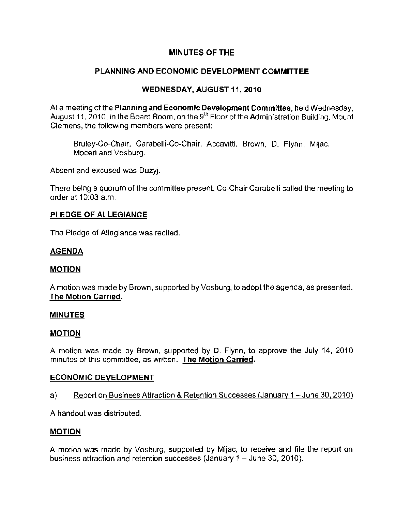# MINUTES OF THE

# PLANNING AND ECONOMIC DEVELOPMENT COMMITTEE

## WEDNESDAY, AUGUST 11, 2010

At a meeting of the Planning and Economic Development Committee, held Wednesday, August 11, 2010, in the Board Room, on the 9<sup>th</sup> Floor of the Administration Building, Mount Clemens, the following members were present:

Bruley-Co-Chair, Carabelli-Co-Chair, Accavitti, Brown, D. Flynn, Mijac, Moceri and Vosburg.

Absent and excused was Duzyj.

There being a quorum of the committee present, Co-Chair Carabelli called the meeting to order at 10:03 a.m.

## PLEDGE OF ALLEGIANCE

The Pledge of Allegiance was recited.

#### AGENDA

## MOTION

A motion was made by Brown, supported by Vosburg, to adopt the agenda, as presented. The Motion Carried.

#### MINUTES

#### **MOTION**

A motion was made by Brown, supported by D. Flynn, to approve the July 14, 2010 minutes of this committee, as written. **The Motion Carried.** 

## ECONOMIC DEVELOPMENT

a) Report on Business Attraction & Retention Successes (January 1 - June 30, 2010)

A handout was distributed.

#### MOTION

A motion was made by Vosburg, supported by Mijac, to receive and file the report on business attraction and retention successes (January  $1 -$  June 30, 2010).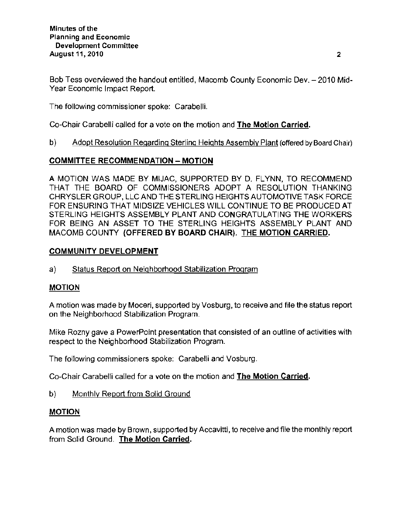Bob Tess overviewed the handout entitled, Macomb County Economic Dev. - 2010 Mid-Year Economic Impact Report.

The following commissioner spoke: Carabelli.

Co-Chair Carabelli called for a vote on the motion and The Motion Carried.

b) Adopt Resolution Regarding Sterling Heights Assembly Plant (offered by Board Chair)

## COMMITTEE RECOMMENDATION - MOTION

A MOTION WAS MADE BY MIJAC, SUPPORTED BY D. FLYNN, TO RECOMMEND THAT THE BOARD OF COMMISSIONERS ADOPT A RESOLUTION THANKING CHRYSLER GROUP, LLC AND THE STERLING HEIGHTS AUTOMOTIVE TASK FORCE FOR ENSURING THAT MIDSIZE VEHICLES WILL CONTINUE TO BE PRODUCED AT STERLING HEIGHTS ASSEMBLY PLANT AND CONGRATULATING THE WORKERS FOR BEING AN ASSET TO THE STERLING HEIGHTS ASSEMBLY PLANT AND MACOMB COUNTY (OFFERED BY BOARD CHAIR). THE MOTION CARRIED.

## COMMUNITY DEVELOPMENT

a) Status Report on Neighborhood Stabilization Program

# MOTION

A motion was made by Moceri, supported by Vosburg, to receive and file the status report on the Neighborhood Stabilization Program.

Mike Rozny gave a PowerPoint presentation that consisted of an outline of activities with respect to the Neighborhood Stabilization Program.

The following commissioners spoke: Carabelli and Vosburg.

Co-Chair Carabelli called for a vote on the motion and The Motion Carried.

b) Monthly Report from Solid Ground

## **MOTION**

A motion was made by Brown, supported by Accavitti, to receive and file the monthly report from Solid Ground. The Motion Carried.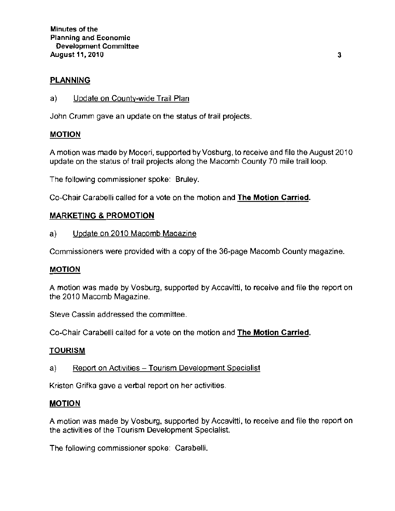## PLANNING

a) Update on County-wide Trail Plan

John Crumm gave an update on the status of trail projects.

#### MOTION

A motion was made by Moceri, supported by Vosburg, to receive and file the August 2010 update on the status of trail projects along the Macomb County 70 mile trail loop.

The following commissioner spoke: Bruley.

Co-Chair Carabelli called for a vote on the motion and The Motion Carried.

## MARKETING & PROMOTION

a) Update on 2010 Macomb Magazine

Commissioners were provided with a copy of the 36-page Macomb County magazine.

#### MOTION

A motion was made by Vosburg, supported by Accavitti, to receive and file the report on the 2010 Macomb Magazine.

**Steve Cassin addressed the committee.** 

Co-Chair Carabelli called for a vote on the motion and The Motion Carried.

#### TOURISM

a) Report on Activities - Tourism Development Specialist

**Kristen Grifka gave a verbal report on her activities.** 

#### **MOTION**

A motion was made by Vosburg, supported by Accavitti, to receive and file the report on the activities of the Tourism Development Specialist.

The following commissioner spoke: Carabelli.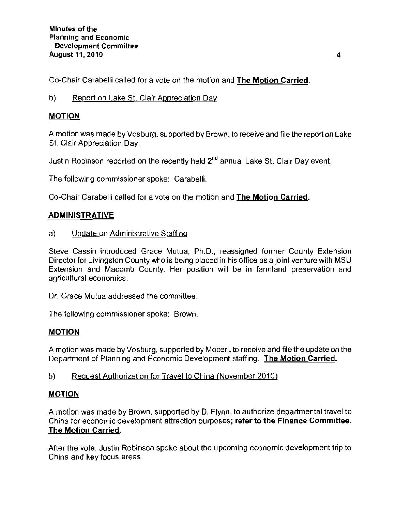Co-Chair Carabelli called for a vote on the motion and The Motion Carried.

## b) Report on Lake St. Clair Appreciation Day

# MOTION

A motion was made by Vosburg, supported by Brown, to receive and file the report on Lake St. Clair Appreciation Day.

Justin Robinson reported on the recently held  $2<sup>nd</sup>$  annual Lake St. Clair Day event.

The following commissioner spoke: Carabelli.

Co-Chair Carabelli called for a vote on the motion and The Motion Carried.

## ADMINISTRATIVE

a) Update on Administrative Staffing

**Steve Cassin introduced Grace Mutua, Ph.D., reassigned former County Extension**  Director for Livingston County who is being placed in his office as a joint venture with MSU **Extension and Macomb County. Her position will be in farmland preservation and agricultural economics.** 

**Dr. Grace Mutua addressed the committee.** 

**The following commissioner spoke: Brown.** 

## MOTION

**A motion was made by Vosburg, supported by Moceri, to receive and file the update on the**  Department of Planning and Economic Development staffing. The Motion Carried.

## b) Request Authorization for Travel to China (November 2010)

## MOTION

A motion was made by Brown. supported by D. Flynn, to authorize departmental travel to **China for economic development attraction purposes; refer to the Finance Committee.**  The Motion Carried.

After the vote, Justin Robinson spoke about the upcoming economic development trip to **China and key focus areas.**